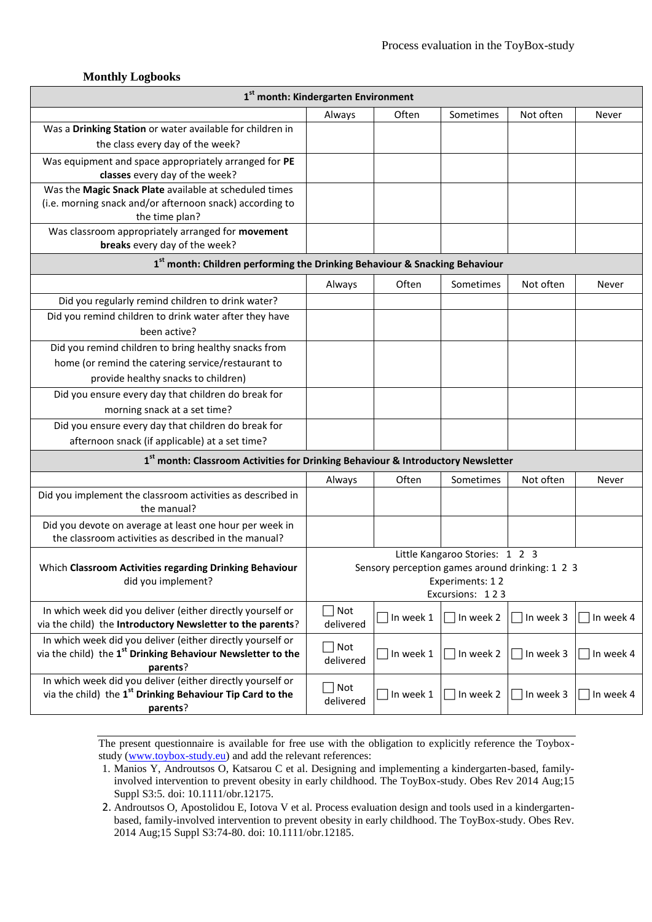#### **Monthly Logbooks**

| 1 <sup>st</sup> month: Kindergarten Environment                                                                                       |                      |                                                 |                                |                                       |           |  |  |  |
|---------------------------------------------------------------------------------------------------------------------------------------|----------------------|-------------------------------------------------|--------------------------------|---------------------------------------|-----------|--|--|--|
|                                                                                                                                       | Always               | Often                                           | Sometimes                      | Not often                             | Never     |  |  |  |
| Was a Drinking Station or water available for children in                                                                             |                      |                                                 |                                |                                       |           |  |  |  |
| the class every day of the week?                                                                                                      |                      |                                                 |                                |                                       |           |  |  |  |
| Was equipment and space appropriately arranged for PE                                                                                 |                      |                                                 |                                |                                       |           |  |  |  |
| classes every day of the week?                                                                                                        |                      |                                                 |                                |                                       |           |  |  |  |
| Was the Magic Snack Plate available at scheduled times                                                                                |                      |                                                 |                                |                                       |           |  |  |  |
| (i.e. morning snack and/or afternoon snack) according to                                                                              |                      |                                                 |                                |                                       |           |  |  |  |
| the time plan?<br>Was classroom appropriately arranged for movement                                                                   |                      |                                                 |                                |                                       |           |  |  |  |
| breaks every day of the week?                                                                                                         |                      |                                                 |                                |                                       |           |  |  |  |
| 1st month: Children performing the Drinking Behaviour & Snacking Behaviour                                                            |                      |                                                 |                                |                                       |           |  |  |  |
|                                                                                                                                       | Always               | Often                                           | Sometimes                      | Not often                             | Never     |  |  |  |
| Did you regularly remind children to drink water?                                                                                     |                      |                                                 |                                |                                       |           |  |  |  |
| Did you remind children to drink water after they have                                                                                |                      |                                                 |                                |                                       |           |  |  |  |
| been active?                                                                                                                          |                      |                                                 |                                |                                       |           |  |  |  |
| Did you remind children to bring healthy snacks from                                                                                  |                      |                                                 |                                |                                       |           |  |  |  |
| home (or remind the catering service/restaurant to                                                                                    |                      |                                                 |                                |                                       |           |  |  |  |
| provide healthy snacks to children)                                                                                                   |                      |                                                 |                                |                                       |           |  |  |  |
| Did you ensure every day that children do break for                                                                                   |                      |                                                 |                                |                                       |           |  |  |  |
| morning snack at a set time?                                                                                                          |                      |                                                 |                                |                                       |           |  |  |  |
| Did you ensure every day that children do break for                                                                                   |                      |                                                 |                                |                                       |           |  |  |  |
| afternoon snack (if applicable) at a set time?                                                                                        |                      |                                                 |                                |                                       |           |  |  |  |
| 1st month: Classroom Activities for Drinking Behaviour & Introductory Newsletter                                                      |                      |                                                 |                                |                                       |           |  |  |  |
|                                                                                                                                       | Always               | Often                                           | Sometimes                      | Not often                             | Never     |  |  |  |
| Did you implement the classroom activities as described in<br>the manual?                                                             |                      |                                                 |                                |                                       |           |  |  |  |
| Did you devote on average at least one hour per week in                                                                               |                      |                                                 |                                |                                       |           |  |  |  |
| the classroom activities as described in the manual?                                                                                  |                      |                                                 |                                |                                       |           |  |  |  |
|                                                                                                                                       |                      |                                                 | Little Kangaroo Stories: 1 2 3 |                                       |           |  |  |  |
| Which Classroom Activities regarding Drinking Behaviour<br>did you implement?                                                         |                      | Sensory perception games around drinking: 1 2 3 | Experiments: 12                |                                       |           |  |  |  |
|                                                                                                                                       | Excursions: 123      |                                                 |                                |                                       |           |  |  |  |
| In which week did you deliver (either directly yourself or                                                                            | Not                  |                                                 |                                |                                       |           |  |  |  |
| via the child) the Introductory Newsletter to the parents?                                                                            | delivered            | In week 1                                       | $\Box$ In week 2               | $\Box$ In week 3                      | In week 4 |  |  |  |
| In which week did you deliver (either directly yourself or<br>via the child) the 1 <sup>st</sup> Drinking Behaviour Newsletter to the | $\Box$ Not           | In week 1                                       | In week 2                      | In week 3                             | In week 4 |  |  |  |
| parents?                                                                                                                              | delivered            |                                                 |                                |                                       |           |  |  |  |
| In which week did you deliver (either directly yourself or<br>via the child) the 1 <sup>st</sup> Drinking Behaviour Tip Card to the   | Not<br>$\mathcal{L}$ |                                                 | In week 2                      |                                       |           |  |  |  |
| parents?                                                                                                                              | delivered            | In week 1                                       |                                | In week 3<br>$\overline{\phantom{a}}$ | In week 4 |  |  |  |

- 1. Manios Y, Androutsos O, Katsarou C et al. Designing and implementing a kindergarten-based, familyinvolved intervention to prevent obesity in early childhood. The ToyBox-study. Obes Rev 2014 Aug;15 Suppl S3:5. doi: 10.1111/obr.12175.
- 2. Androutsos O, Apostolidou E, Iotova V et al. Process evaluation design and tools used in a kindergartenbased, family-involved intervention to prevent obesity in early childhood. The ToyBox-study. Obes Rev. 2014 Aug;15 Suppl S3:74-80. doi: 10.1111/obr.12185.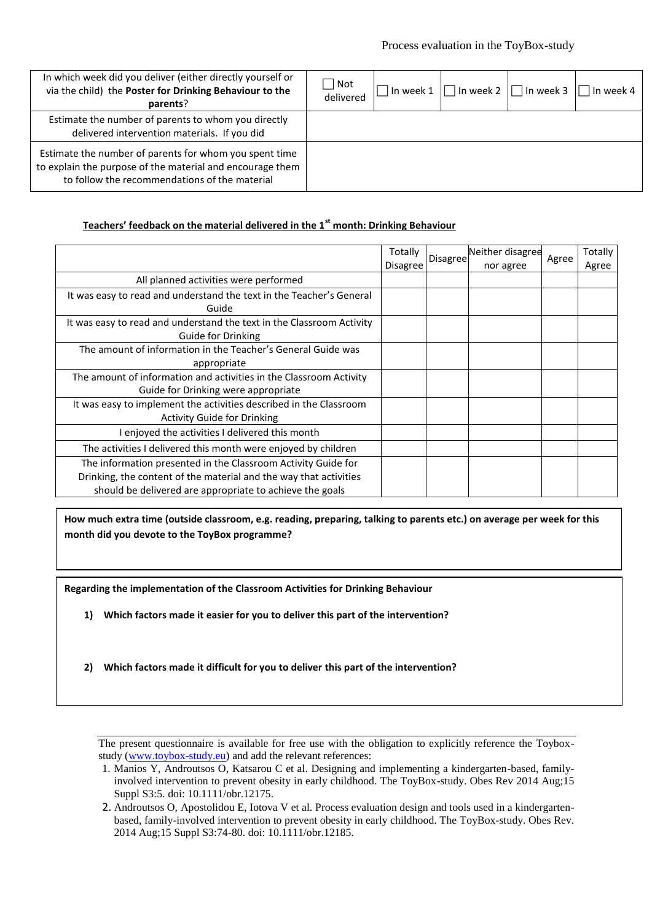| In which week did you deliver (either directly yourself or<br>via the child) the Poster for Drinking Behaviour to the<br>parents?                                    | Not<br>delivered | In week 1 | In week 2 | $\Box$ In week 3 | In week 4 |
|----------------------------------------------------------------------------------------------------------------------------------------------------------------------|------------------|-----------|-----------|------------------|-----------|
| Estimate the number of parents to whom you directly<br>delivered intervention materials. If you did                                                                  |                  |           |           |                  |           |
| Estimate the number of parents for whom you spent time<br>to explain the purpose of the material and encourage them<br>to follow the recommendations of the material |                  |           |           |                  |           |

### **Teachers' feedback on the material delivered in the 1st month: Drinking Behaviour**

|                                                                       | Totally<br>Disagree | Disagree | Neither disagree<br>nor agree | Agree | Totally<br>Agree |
|-----------------------------------------------------------------------|---------------------|----------|-------------------------------|-------|------------------|
| All planned activities were performed                                 |                     |          |                               |       |                  |
| It was easy to read and understand the text in the Teacher's General  |                     |          |                               |       |                  |
| Guide                                                                 |                     |          |                               |       |                  |
| It was easy to read and understand the text in the Classroom Activity |                     |          |                               |       |                  |
| Guide for Drinking                                                    |                     |          |                               |       |                  |
| The amount of information in the Teacher's General Guide was          |                     |          |                               |       |                  |
| appropriate                                                           |                     |          |                               |       |                  |
| The amount of information and activities in the Classroom Activity    |                     |          |                               |       |                  |
| Guide for Drinking were appropriate                                   |                     |          |                               |       |                  |
| It was easy to implement the activities described in the Classroom    |                     |          |                               |       |                  |
| <b>Activity Guide for Drinking</b>                                    |                     |          |                               |       |                  |
| I enjoyed the activities I delivered this month                       |                     |          |                               |       |                  |
| The activities I delivered this month were enjoyed by children        |                     |          |                               |       |                  |
| The information presented in the Classroom Activity Guide for         |                     |          |                               |       |                  |
| Drinking, the content of the material and the way that activities     |                     |          |                               |       |                  |
| should be delivered are appropriate to achieve the goals              |                     |          |                               |       |                  |

**How much extra time (outside classroom, e.g. reading, preparing, talking to parents etc.) on average per week for this month did you devote to the ToyBox programme?**

**Regarding the implementation of the Classroom Activities for Drinking Behaviour**

- **1) Which factors made it easier for you to deliver this part of the intervention?**
- **2) Which factors made it difficult for you to deliver this part of the intervention?**

<sup>1.</sup> Manios Y, Androutsos O, Katsarou C et al. Designing and implementing a kindergarten-based, familyinvolved intervention to prevent obesity in early childhood. The ToyBox-study. Obes Rev 2014 Aug;15 Suppl S3:5. doi: 10.1111/obr.12175.

<sup>2.</sup> Androutsos O, Apostolidou E, Iotova V et al. Process evaluation design and tools used in a kindergartenbased, family-involved intervention to prevent obesity in early childhood. The ToyBox-study. Obes Rev. 2014 Aug;15 Suppl S3:74-80. doi: 10.1111/obr.12185.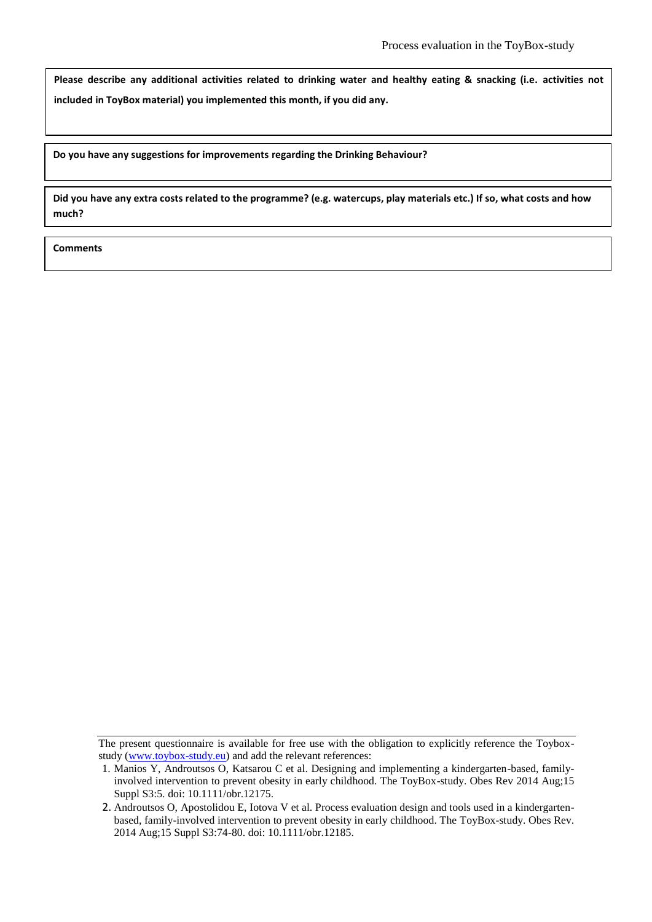**Please describe any additional activities related to drinking water and healthy eating & snacking (i.e. activities not included in ToyBox material) you implemented this month, if you did any.**

**Do you have any suggestions for improvements regarding the Drinking Behaviour?**

**Did you have any extra costs related to the programme? (e.g. watercups, play materials etc.) If so, what costs and how much?**

The present questionnaire is available for free use with the obligation to explicitly reference the Toyboxstudy (www.toybox-study.eu) and add the relevant references:

<sup>1.</sup> Manios Y, Androutsos O, Katsarou C et al. Designing and implementing a kindergarten-based, familyinvolved intervention to prevent obesity in early childhood. The ToyBox-study. Obes Rev 2014 Aug;15 Suppl S3:5. doi: 10.1111/obr.12175.

<sup>2.</sup> Androutsos O, Apostolidou E, Iotova V et al. Process evaluation design and tools used in a kindergartenbased, family-involved intervention to prevent obesity in early childhood. The ToyBox-study. Obes Rev. 2014 Aug;15 Suppl S3:74-80. doi: 10.1111/obr.12185.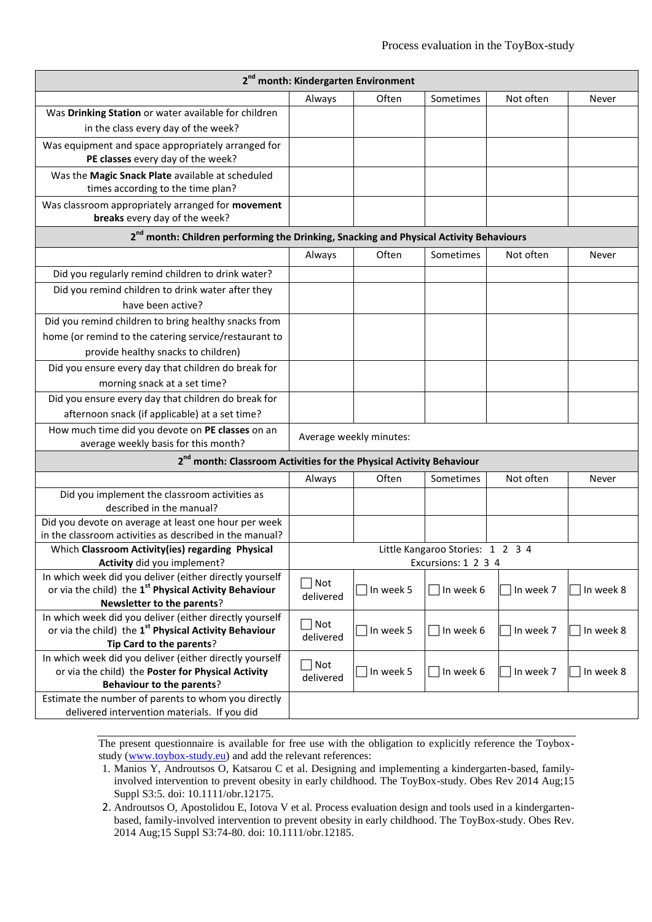| 2 <sup>nd</sup> month: Kindergarten Environment                                                                                                            |                  |                         |                                  |           |           |  |  |  |  |
|------------------------------------------------------------------------------------------------------------------------------------------------------------|------------------|-------------------------|----------------------------------|-----------|-----------|--|--|--|--|
|                                                                                                                                                            | Always           | Often                   | Sometimes                        | Not often | Never     |  |  |  |  |
| Was Drinking Station or water available for children                                                                                                       |                  |                         |                                  |           |           |  |  |  |  |
| in the class every day of the week?                                                                                                                        |                  |                         |                                  |           |           |  |  |  |  |
| Was equipment and space appropriately arranged for                                                                                                         |                  |                         |                                  |           |           |  |  |  |  |
| PE classes every day of the week?                                                                                                                          |                  |                         |                                  |           |           |  |  |  |  |
| Was the Magic Snack Plate available at scheduled<br>times according to the time plan?                                                                      |                  |                         |                                  |           |           |  |  |  |  |
| Was classroom appropriately arranged for movement<br>breaks every day of the week?                                                                         |                  |                         |                                  |           |           |  |  |  |  |
| 2 <sup>nd</sup> month: Children performing the Drinking, Snacking and Physical Activity Behaviours                                                         |                  |                         |                                  |           |           |  |  |  |  |
|                                                                                                                                                            | Always           | Often                   | Sometimes                        | Not often | Never     |  |  |  |  |
| Did you regularly remind children to drink water?                                                                                                          |                  |                         |                                  |           |           |  |  |  |  |
| Did you remind children to drink water after they                                                                                                          |                  |                         |                                  |           |           |  |  |  |  |
| have been active?                                                                                                                                          |                  |                         |                                  |           |           |  |  |  |  |
| Did you remind children to bring healthy snacks from                                                                                                       |                  |                         |                                  |           |           |  |  |  |  |
| home (or remind to the catering service/restaurant to                                                                                                      |                  |                         |                                  |           |           |  |  |  |  |
| provide healthy snacks to children)                                                                                                                        |                  |                         |                                  |           |           |  |  |  |  |
| Did you ensure every day that children do break for                                                                                                        |                  |                         |                                  |           |           |  |  |  |  |
| morning snack at a set time?                                                                                                                               |                  |                         |                                  |           |           |  |  |  |  |
| Did you ensure every day that children do break for                                                                                                        |                  |                         |                                  |           |           |  |  |  |  |
| afternoon snack (if applicable) at a set time?                                                                                                             |                  |                         |                                  |           |           |  |  |  |  |
| How much time did you devote on PE classes on an<br>average weekly basis for this month?                                                                   |                  | Average weekly minutes: |                                  |           |           |  |  |  |  |
| 2 <sup>nd</sup> month: Classroom Activities for the Physical Activity Behaviour                                                                            |                  |                         |                                  |           |           |  |  |  |  |
|                                                                                                                                                            | Always           | Often                   | Sometimes                        | Not often | Never     |  |  |  |  |
| Did you implement the classroom activities as                                                                                                              |                  |                         |                                  |           |           |  |  |  |  |
| described in the manual?                                                                                                                                   |                  |                         |                                  |           |           |  |  |  |  |
| Did you devote on average at least one hour per week<br>in the classroom activities as described in the manual?                                            |                  |                         |                                  |           |           |  |  |  |  |
| Which Classroom Activity(ies) regarding Physical                                                                                                           |                  |                         | Little Kangaroo Stories: 1 2 3 4 |           |           |  |  |  |  |
| Activity did you implement?                                                                                                                                |                  |                         | Excursions: 1 2 3 4              |           |           |  |  |  |  |
| In which week did you deliver (either directly yourself<br>or via the child) the 1 <sup>st</sup> Physical Activity Behaviour<br>Newsletter to the parents? | Not<br>delivered | $\Box$ In week 5        | In week 6<br><b>College</b>      | In week 7 | In week 8 |  |  |  |  |
| In which week did you deliver (either directly yourself<br>or via the child) the 1 <sup>st</sup> Physical Activity Behaviour<br>Tip Card to the parents?   | Not<br>delivered | In week 5               | In week 6                        | In week 7 | In week 8 |  |  |  |  |
| In which week did you deliver (either directly yourself<br>or via the child) the Poster for Physical Activity<br><b>Behaviour to the parents?</b>          | Not<br>delivered | $\Box$ In week 5        | In week 6                        | In week 7 | In week 8 |  |  |  |  |
| Estimate the number of parents to whom you directly<br>delivered intervention materials. If you did                                                        |                  |                         |                                  |           |           |  |  |  |  |

- 1. Manios Y, Androutsos O, Katsarou C et al. Designing and implementing a kindergarten-based, familyinvolved intervention to prevent obesity in early childhood. The ToyBox-study. Obes Rev 2014 Aug;15 Suppl S3:5. doi: 10.1111/obr.12175.
- 2. Androutsos O, Apostolidou E, Iotova V et al. Process evaluation design and tools used in a kindergartenbased, family-involved intervention to prevent obesity in early childhood. The ToyBox-study. Obes Rev. 2014 Aug;15 Suppl S3:74-80. doi: 10.1111/obr.12185.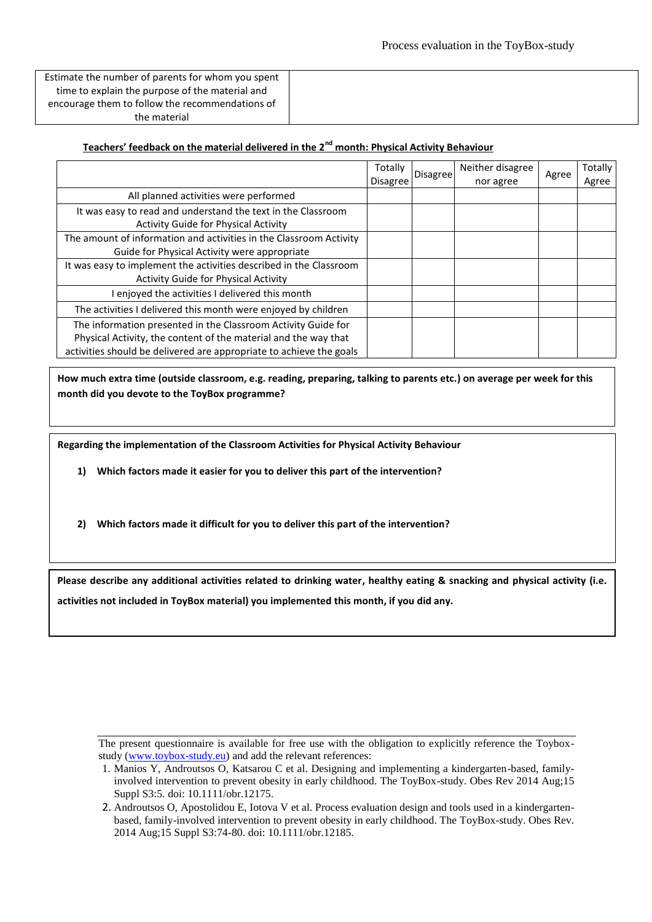Estimate the number of parents for whom you spent time to explain the purpose of the material and encourage them to follow the recommendations of the material

### **Teachers' feedback on the material delivered in the 2nd month: Physical Activity Behaviour**

|                                                                     | Totally         |          | Neither disagree | Agree | Totally |
|---------------------------------------------------------------------|-----------------|----------|------------------|-------|---------|
|                                                                     | <b>Disagree</b> | Disagree | nor agree        |       | Agree   |
| All planned activities were performed                               |                 |          |                  |       |         |
| It was easy to read and understand the text in the Classroom        |                 |          |                  |       |         |
| <b>Activity Guide for Physical Activity</b>                         |                 |          |                  |       |         |
| The amount of information and activities in the Classroom Activity  |                 |          |                  |       |         |
| Guide for Physical Activity were appropriate                        |                 |          |                  |       |         |
| It was easy to implement the activities described in the Classroom  |                 |          |                  |       |         |
| <b>Activity Guide for Physical Activity</b>                         |                 |          |                  |       |         |
| enjoyed the activities I delivered this month                       |                 |          |                  |       |         |
| The activities I delivered this month were enjoyed by children      |                 |          |                  |       |         |
| The information presented in the Classroom Activity Guide for       |                 |          |                  |       |         |
| Physical Activity, the content of the material and the way that     |                 |          |                  |       |         |
| activities should be delivered are appropriate to achieve the goals |                 |          |                  |       |         |

**How much extra time (outside classroom, e.g. reading, preparing, talking to parents etc.) on average per week for this month did you devote to the ToyBox programme?**

**Regarding the implementation of the Classroom Activities for Physical Activity Behaviour**

**1) Which factors made it easier for you to deliver this part of the intervention?**

**2) Which factors made it difficult for you to deliver this part of the intervention?**

**Please describe any additional activities related to drinking water, healthy eating & snacking and physical activity (i.e. activities not included in ToyBox material) you implemented this month, if you did any.**

<sup>1.</sup> Manios Y, Androutsos O, Katsarou C et al. Designing and implementing a kindergarten-based, familyinvolved intervention to prevent obesity in early childhood. The ToyBox-study. Obes Rev 2014 Aug;15 Suppl S3:5. doi: 10.1111/obr.12175.

<sup>2.</sup> Androutsos O, Apostolidou E, Iotova V et al. Process evaluation design and tools used in a kindergartenbased, family-involved intervention to prevent obesity in early childhood. The ToyBox-study. Obes Rev. 2014 Aug;15 Suppl S3:74-80. doi: 10.1111/obr.12185.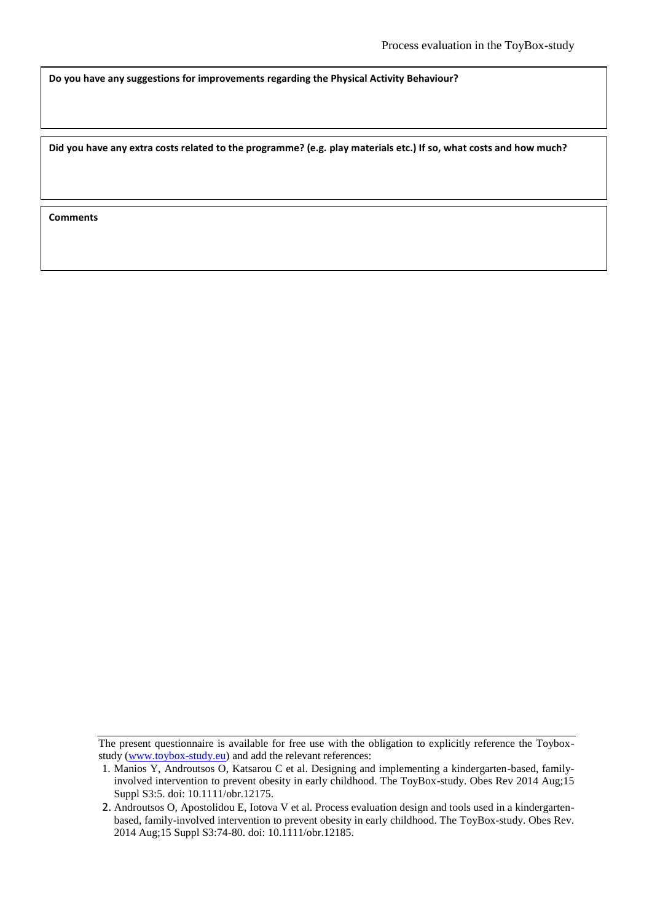**Do you have any suggestions for improvements regarding the Physical Activity Behaviour?**

**Did you have any extra costs related to the programme? (e.g. play materials etc.) If so, what costs and how much?**

The present questionnaire is available for free use with the obligation to explicitly reference the Toyboxstudy (www.toybox-study.eu) and add the relevant references:

<sup>1.</sup> Manios Y, Androutsos O, Katsarou C et al. Designing and implementing a kindergarten-based, familyinvolved intervention to prevent obesity in early childhood. The ToyBox-study. Obes Rev 2014 Aug;15 Suppl S3:5. doi: 10.1111/obr.12175.

<sup>2.</sup> Androutsos O, Apostolidou E, Iotova V et al. Process evaluation design and tools used in a kindergartenbased, family-involved intervention to prevent obesity in early childhood. The ToyBox-study. Obes Rev. 2014 Aug;15 Suppl S3:74-80. doi: 10.1111/obr.12185.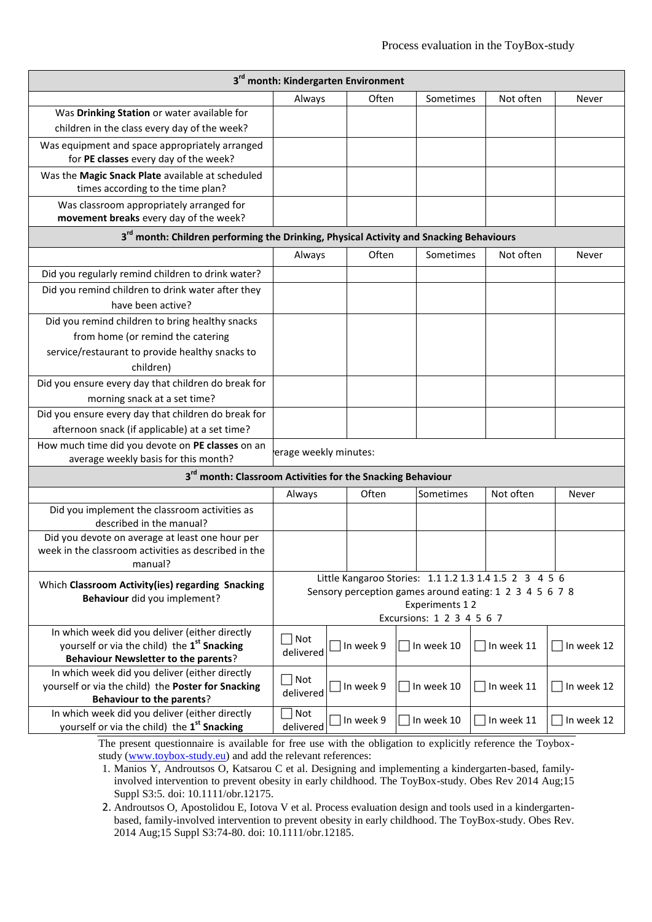| 3 <sup>rd</sup> month: Kindergarten Environment                                                           |                          |                                                         |                           |               |                   |  |  |  |  |
|-----------------------------------------------------------------------------------------------------------|--------------------------|---------------------------------------------------------|---------------------------|---------------|-------------------|--|--|--|--|
|                                                                                                           | Always                   | Often                                                   | Sometimes                 | Not often     | Never             |  |  |  |  |
| Was Drinking Station or water available for                                                               |                          |                                                         |                           |               |                   |  |  |  |  |
| children in the class every day of the week?                                                              |                          |                                                         |                           |               |                   |  |  |  |  |
| Was equipment and space appropriately arranged                                                            |                          |                                                         |                           |               |                   |  |  |  |  |
| for PE classes every day of the week?                                                                     |                          |                                                         |                           |               |                   |  |  |  |  |
| Was the Magic Snack Plate available at scheduled                                                          |                          |                                                         |                           |               |                   |  |  |  |  |
| times according to the time plan?                                                                         |                          |                                                         |                           |               |                   |  |  |  |  |
| Was classroom appropriately arranged for<br>movement breaks every day of the week?                        |                          |                                                         |                           |               |                   |  |  |  |  |
| 3 <sup>rd</sup> month: Children performing the Drinking, Physical Activity and Snacking Behaviours        |                          |                                                         |                           |               |                   |  |  |  |  |
|                                                                                                           | Always                   | Often                                                   | Sometimes                 | Not often     | Never             |  |  |  |  |
| Did you regularly remind children to drink water?                                                         |                          |                                                         |                           |               |                   |  |  |  |  |
| Did you remind children to drink water after they                                                         |                          |                                                         |                           |               |                   |  |  |  |  |
| have been active?                                                                                         |                          |                                                         |                           |               |                   |  |  |  |  |
| Did you remind children to bring healthy snacks                                                           |                          |                                                         |                           |               |                   |  |  |  |  |
| from home (or remind the catering                                                                         |                          |                                                         |                           |               |                   |  |  |  |  |
| service/restaurant to provide healthy snacks to                                                           |                          |                                                         |                           |               |                   |  |  |  |  |
| children)                                                                                                 |                          |                                                         |                           |               |                   |  |  |  |  |
| Did you ensure every day that children do break for                                                       |                          |                                                         |                           |               |                   |  |  |  |  |
| morning snack at a set time?                                                                              |                          |                                                         |                           |               |                   |  |  |  |  |
| Did you ensure every day that children do break for                                                       |                          |                                                         |                           |               |                   |  |  |  |  |
| afternoon snack (if applicable) at a set time?                                                            |                          |                                                         |                           |               |                   |  |  |  |  |
| How much time did you devote on PE classes on an                                                          |                          |                                                         |                           |               |                   |  |  |  |  |
| average weekly basis for this month?                                                                      | erage weekly minutes:    |                                                         |                           |               |                   |  |  |  |  |
| 3 <sup>rd</sup> month: Classroom Activities for the Snacking Behaviour                                    |                          |                                                         |                           |               |                   |  |  |  |  |
|                                                                                                           | Always                   | Often                                                   | Sometimes                 | Not often     | Never             |  |  |  |  |
| Did you implement the classroom activities as                                                             |                          |                                                         |                           |               |                   |  |  |  |  |
| described in the manual?                                                                                  |                          |                                                         |                           |               |                   |  |  |  |  |
| Did you devote on average at least one hour per<br>week in the classroom activities as described in the   |                          |                                                         |                           |               |                   |  |  |  |  |
| manual?                                                                                                   |                          |                                                         |                           |               |                   |  |  |  |  |
|                                                                                                           |                          | Little Kangaroo Stories: 1.1 1.2 1.3 1.4 1.5 2 3 4 5 6  |                           |               |                   |  |  |  |  |
| Which Classroom Activity(ies) regarding Snacking<br>Behaviour did you implement?                          |                          | Sensory perception games around eating: 1 2 3 4 5 6 7 8 |                           |               |                   |  |  |  |  |
|                                                                                                           |                          |                                                         | Experiments 12            |               |                   |  |  |  |  |
|                                                                                                           |                          |                                                         | Excursions: 1 2 3 4 5 6 7 |               |                   |  |  |  |  |
| In which week did you deliver (either directly<br>yourself or via the child) the 1 <sup>st</sup> Snacking | Not                      |                                                         |                           |               |                   |  |  |  |  |
| <b>Behaviour Newsletter to the parents?</b>                                                               | delivered                | In week 9                                               | In week 10                | $\ln$ week 11 | $\Box$ In week 12 |  |  |  |  |
| In which week did you deliver (either directly                                                            |                          |                                                         |                           |               |                   |  |  |  |  |
| yourself or via the child) the Poster for Snacking                                                        | $\sqrt{\phantom{a}}$ Not | In week 9                                               | In week 10                | In week 11    | In week 12        |  |  |  |  |
| <b>Behaviour to the parents?</b>                                                                          | delivered                |                                                         |                           |               |                   |  |  |  |  |
| In which week did you deliver (either directly                                                            | Not                      | In week 9                                               | In week 10                | In week 11    | In week 12        |  |  |  |  |
| yourself or via the child) the 1 <sup>st</sup> Snacking                                                   | delivered                |                                                         |                           |               |                   |  |  |  |  |

1. Manios Y, Androutsos O, Katsarou C et al. Designing and implementing a kindergarten-based, familyinvolved intervention to prevent obesity in early childhood. The ToyBox-study. Obes Rev 2014 Aug;15 Suppl S3:5. doi: 10.1111/obr.12175.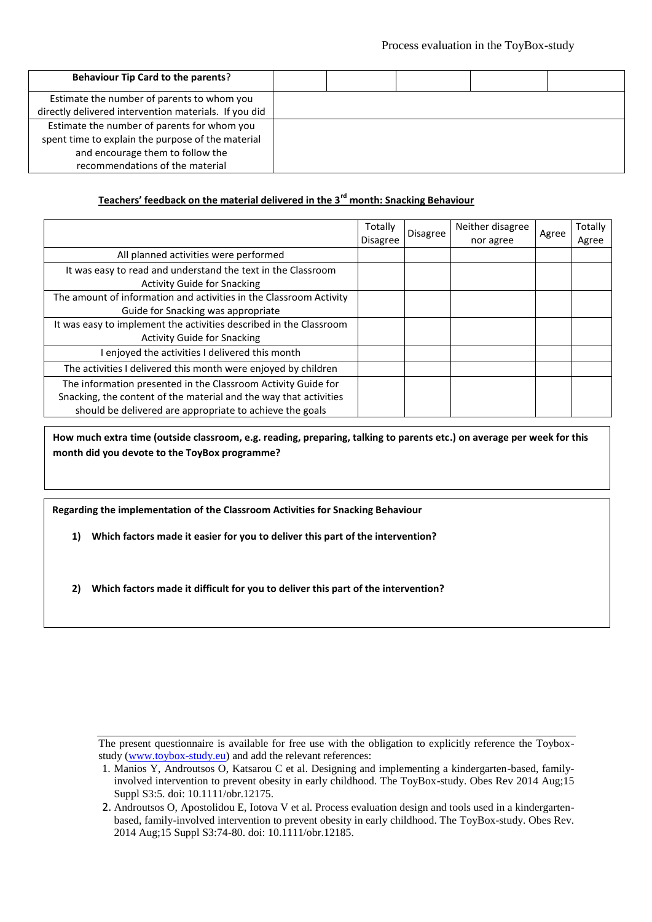| <b>Behaviour Tip Card to the parents?</b>             |  |  |  |
|-------------------------------------------------------|--|--|--|
| Estimate the number of parents to whom you            |  |  |  |
| directly delivered intervention materials. If you did |  |  |  |
| Estimate the number of parents for whom you           |  |  |  |
| spent time to explain the purpose of the material     |  |  |  |
| and encourage them to follow the                      |  |  |  |
| recommendations of the material                       |  |  |  |
|                                                       |  |  |  |

## **Teachers' feedback on the material delivered in the 3rd month: Snacking Behaviour**

|                                                                                                                                                                                                | Totally<br><b>Disagree</b> | Disagree | Neither disagree<br>nor agree | Agree | Totally<br>Agree |
|------------------------------------------------------------------------------------------------------------------------------------------------------------------------------------------------|----------------------------|----------|-------------------------------|-------|------------------|
| All planned activities were performed                                                                                                                                                          |                            |          |                               |       |                  |
| It was easy to read and understand the text in the Classroom<br><b>Activity Guide for Snacking</b>                                                                                             |                            |          |                               |       |                  |
| The amount of information and activities in the Classroom Activity<br>Guide for Snacking was appropriate                                                                                       |                            |          |                               |       |                  |
| It was easy to implement the activities described in the Classroom<br><b>Activity Guide for Snacking</b>                                                                                       |                            |          |                               |       |                  |
| I enjoyed the activities I delivered this month                                                                                                                                                |                            |          |                               |       |                  |
| The activities I delivered this month were enjoyed by children                                                                                                                                 |                            |          |                               |       |                  |
| The information presented in the Classroom Activity Guide for<br>Snacking, the content of the material and the way that activities<br>should be delivered are appropriate to achieve the goals |                            |          |                               |       |                  |

**How much extra time (outside classroom, e.g. reading, preparing, talking to parents etc.) on average per week for this month did you devote to the ToyBox programme?**

**Regarding the implementation of the Classroom Activities for Snacking Behaviour**

**1) Which factors made it easier for you to deliver this part of the intervention?**

**2) Which factors made it difficult for you to deliver this part of the intervention?**

<sup>1.</sup> Manios Y, Androutsos O, Katsarou C et al. Designing and implementing a kindergarten-based, familyinvolved intervention to prevent obesity in early childhood. The ToyBox-study. Obes Rev 2014 Aug;15 Suppl S3:5. doi: 10.1111/obr.12175.

<sup>2.</sup> Androutsos O, Apostolidou E, Iotova V et al. Process evaluation design and tools used in a kindergartenbased, family-involved intervention to prevent obesity in early childhood. The ToyBox-study. Obes Rev. 2014 Aug;15 Suppl S3:74-80. doi: 10.1111/obr.12185.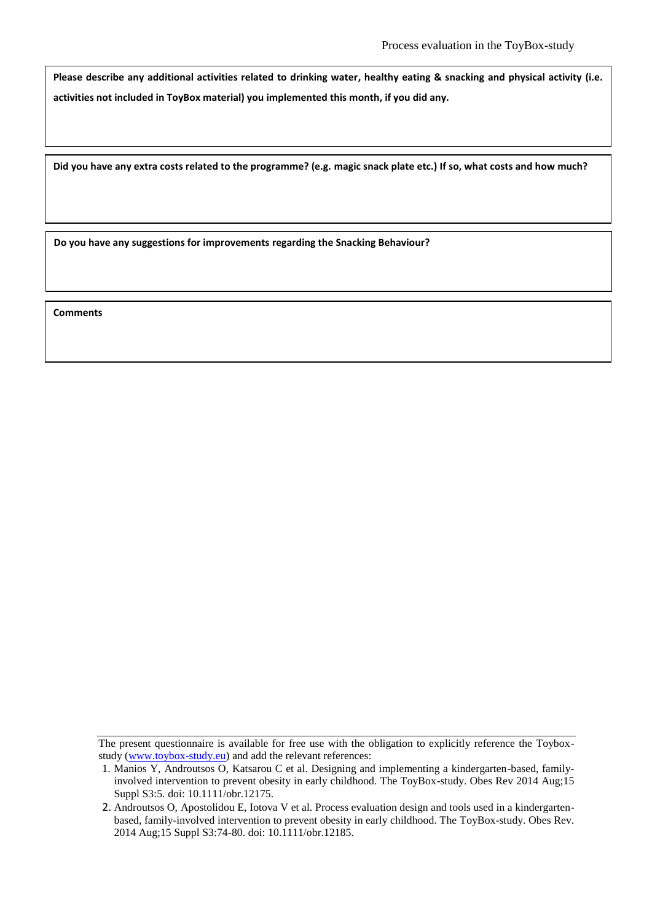**Please describe any additional activities related to drinking water, healthy eating & snacking and physical activity (i.e. activities not included in ToyBox material) you implemented this month, if you did any.**

**Did you have any extra costs related to the programme? (e.g. magic snack plate etc.) If so, what costs and how much?**

**Do you have any suggestions for improvements regarding the Snacking Behaviour?**

The present questionnaire is available for free use with the obligation to explicitly reference the Toyboxstudy (www.toybox-study.eu) and add the relevant references:

<sup>1.</sup> Manios Y, Androutsos O, Katsarou C et al. Designing and implementing a kindergarten-based, familyinvolved intervention to prevent obesity in early childhood. The ToyBox-study. Obes Rev 2014 Aug;15 Suppl S3:5. doi: 10.1111/obr.12175.

<sup>2.</sup> Androutsos O, Apostolidou E, Iotova V et al. Process evaluation design and tools used in a kindergartenbased, family-involved intervention to prevent obesity in early childhood. The ToyBox-study. Obes Rev. 2014 Aug;15 Suppl S3:74-80. doi: 10.1111/obr.12185.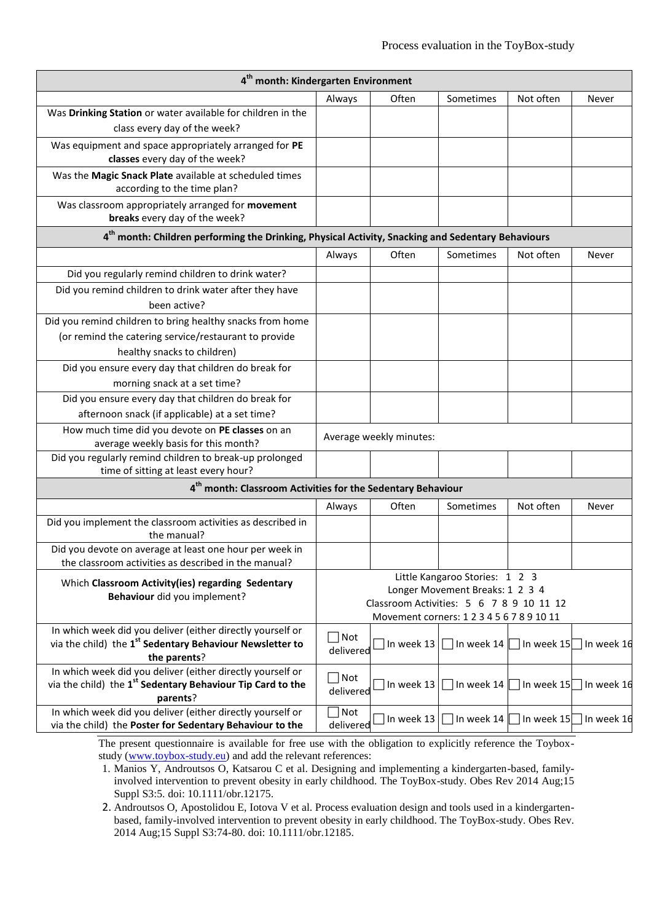| 4 <sup>th</sup> month: Kindergarten Environment                                                                                      |               |                                     |                                                                   |            |            |  |  |  |  |  |
|--------------------------------------------------------------------------------------------------------------------------------------|---------------|-------------------------------------|-------------------------------------------------------------------|------------|------------|--|--|--|--|--|
|                                                                                                                                      | Always        | Often                               | Sometimes                                                         | Not often  | Never      |  |  |  |  |  |
| Was Drinking Station or water available for children in the                                                                          |               |                                     |                                                                   |            |            |  |  |  |  |  |
| class every day of the week?                                                                                                         |               |                                     |                                                                   |            |            |  |  |  |  |  |
| Was equipment and space appropriately arranged for PE                                                                                |               |                                     |                                                                   |            |            |  |  |  |  |  |
| classes every day of the week?                                                                                                       |               |                                     |                                                                   |            |            |  |  |  |  |  |
| Was the Magic Snack Plate available at scheduled times                                                                               |               |                                     |                                                                   |            |            |  |  |  |  |  |
| according to the time plan?                                                                                                          |               |                                     |                                                                   |            |            |  |  |  |  |  |
| Was classroom appropriately arranged for movement                                                                                    |               |                                     |                                                                   |            |            |  |  |  |  |  |
| breaks every day of the week?                                                                                                        |               |                                     |                                                                   |            |            |  |  |  |  |  |
| 4 <sup>th</sup> month: Children performing the Drinking, Physical Activity, Snacking and Sedentary Behaviours                        |               |                                     |                                                                   |            |            |  |  |  |  |  |
|                                                                                                                                      | Always        | Often                               | Sometimes                                                         | Not often  | Never      |  |  |  |  |  |
| Did you regularly remind children to drink water?                                                                                    |               |                                     |                                                                   |            |            |  |  |  |  |  |
| Did you remind children to drink water after they have                                                                               |               |                                     |                                                                   |            |            |  |  |  |  |  |
| been active?                                                                                                                         |               |                                     |                                                                   |            |            |  |  |  |  |  |
| Did you remind children to bring healthy snacks from home                                                                            |               |                                     |                                                                   |            |            |  |  |  |  |  |
| (or remind the catering service/restaurant to provide                                                                                |               |                                     |                                                                   |            |            |  |  |  |  |  |
| healthy snacks to children)                                                                                                          |               |                                     |                                                                   |            |            |  |  |  |  |  |
| Did you ensure every day that children do break for                                                                                  |               |                                     |                                                                   |            |            |  |  |  |  |  |
| morning snack at a set time?                                                                                                         |               |                                     |                                                                   |            |            |  |  |  |  |  |
| Did you ensure every day that children do break for                                                                                  |               |                                     |                                                                   |            |            |  |  |  |  |  |
| afternoon snack (if applicable) at a set time?                                                                                       |               |                                     |                                                                   |            |            |  |  |  |  |  |
| How much time did you devote on PE classes on an                                                                                     |               | Average weekly minutes:             |                                                                   |            |            |  |  |  |  |  |
| average weekly basis for this month?                                                                                                 |               |                                     |                                                                   |            |            |  |  |  |  |  |
| Did you regularly remind children to break-up prolonged<br>time of sitting at least every hour?                                      |               |                                     |                                                                   |            |            |  |  |  |  |  |
| 4 <sup>th</sup> month: Classroom Activities for the Sedentary Behaviour                                                              |               |                                     |                                                                   |            |            |  |  |  |  |  |
|                                                                                                                                      | Always        | Often                               | Sometimes                                                         | Not often  | Never      |  |  |  |  |  |
| Did you implement the classroom activities as described in                                                                           |               |                                     |                                                                   |            |            |  |  |  |  |  |
| the manual?                                                                                                                          |               |                                     |                                                                   |            |            |  |  |  |  |  |
| Did you devote on average at least one hour per week in                                                                              |               |                                     |                                                                   |            |            |  |  |  |  |  |
| the classroom activities as described in the manual?                                                                                 |               |                                     |                                                                   |            |            |  |  |  |  |  |
| Which Classroom Activity(ies) regarding Sedentary                                                                                    |               |                                     | Little Kangaroo Stories: 1 2 3<br>Longer Movement Breaks: 1 2 3 4 |            |            |  |  |  |  |  |
| Behaviour did you implement?                                                                                                         |               |                                     | Classroom Activities: 5 6 7 8 9 10 11 12                          |            |            |  |  |  |  |  |
|                                                                                                                                      |               |                                     | Movement corners: 1 2 3 4 5 6 7 8 9 10 11                         |            |            |  |  |  |  |  |
| In which week did you deliver (either directly yourself or                                                                           | $\exists$ Not |                                     |                                                                   |            |            |  |  |  |  |  |
| via the child) the 1 <sup>st</sup> Sedentary Behaviour Newsletter to                                                                 | delivered     | $\Box$ In week 13                   | $\Box$ In week 14                                                 | In week 15 | In week 16 |  |  |  |  |  |
| the parents?                                                                                                                         |               |                                     |                                                                   |            |            |  |  |  |  |  |
| In which week did you deliver (either directly yourself or<br>via the child) the 1 <sup>st</sup> Sedentary Behaviour Tip Card to the | $\Box$ Not    |                                     |                                                                   |            |            |  |  |  |  |  |
| parents?                                                                                                                             | delivered     | $\sqrt{\ln$ week 13                 | In week 14                                                        | In week 15 | In week 16 |  |  |  |  |  |
| In which week did you deliver (either directly yourself or                                                                           | $\exists$ Not |                                     |                                                                   |            |            |  |  |  |  |  |
| via the child) the Poster for Sedentary Behaviour to the                                                                             | delivered     | $\lceil$ In week 13 $\lceil \rceil$ | In week 14                                                        | In week 15 | In week 16 |  |  |  |  |  |

1. Manios Y, Androutsos O, Katsarou C et al. Designing and implementing a kindergarten-based, familyinvolved intervention to prevent obesity in early childhood. The ToyBox-study. Obes Rev 2014 Aug;15 Suppl S3:5. doi: 10.1111/obr.12175.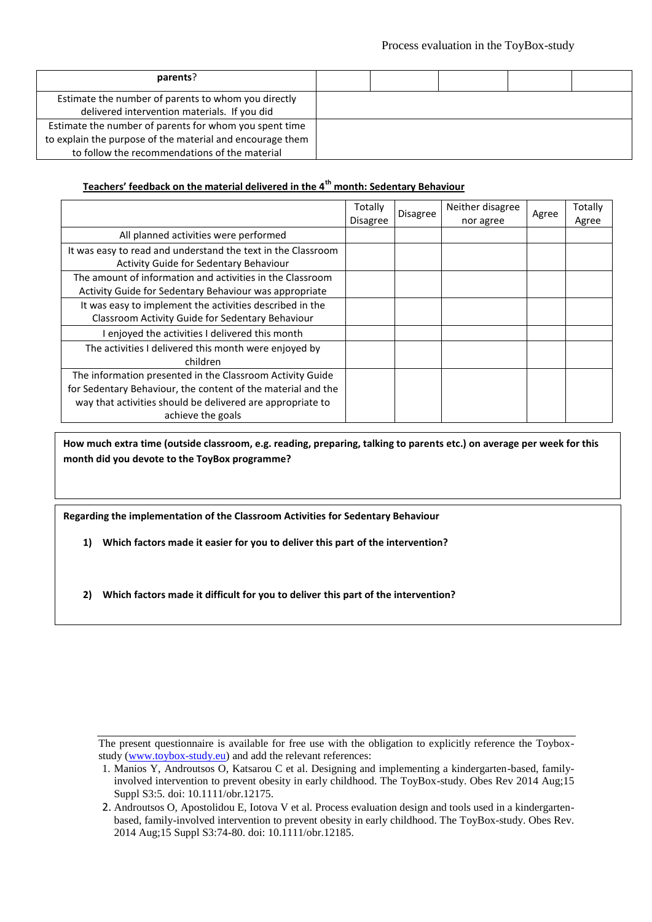| parents?                                                  |  |  |  |
|-----------------------------------------------------------|--|--|--|
| Estimate the number of parents to whom you directly       |  |  |  |
| delivered intervention materials. If you did              |  |  |  |
| Estimate the number of parents for whom you spent time    |  |  |  |
| to explain the purpose of the material and encourage them |  |  |  |
| to follow the recommendations of the material             |  |  |  |

## **Teachers' feedback on the material delivered in the 4th month: Sedentary Behaviour**

|                                                                                                                                                                                                              | Totally<br><b>Disagree</b> | Disagree | Neither disagree<br>nor agree | Agree | Totally<br>Agree |
|--------------------------------------------------------------------------------------------------------------------------------------------------------------------------------------------------------------|----------------------------|----------|-------------------------------|-------|------------------|
| All planned activities were performed                                                                                                                                                                        |                            |          |                               |       |                  |
| It was easy to read and understand the text in the Classroom<br>Activity Guide for Sedentary Behaviour                                                                                                       |                            |          |                               |       |                  |
| The amount of information and activities in the Classroom<br>Activity Guide for Sedentary Behaviour was appropriate                                                                                          |                            |          |                               |       |                  |
| It was easy to implement the activities described in the<br>Classroom Activity Guide for Sedentary Behaviour                                                                                                 |                            |          |                               |       |                  |
| I enjoyed the activities I delivered this month                                                                                                                                                              |                            |          |                               |       |                  |
| The activities I delivered this month were enjoyed by<br>children                                                                                                                                            |                            |          |                               |       |                  |
| The information presented in the Classroom Activity Guide<br>for Sedentary Behaviour, the content of the material and the<br>way that activities should be delivered are appropriate to<br>achieve the goals |                            |          |                               |       |                  |

**How much extra time (outside classroom, e.g. reading, preparing, talking to parents etc.) on average per week for this month did you devote to the ToyBox programme?**

**Regarding the implementation of the Classroom Activities for Sedentary Behaviour**

**1) Which factors made it easier for you to deliver this part of the intervention?**

**2) Which factors made it difficult for you to deliver this part of the intervention?**

<sup>1.</sup> Manios Y, Androutsos O, Katsarou C et al. Designing and implementing a kindergarten-based, familyinvolved intervention to prevent obesity in early childhood. The ToyBox-study. Obes Rev 2014 Aug;15 Suppl S3:5. doi: 10.1111/obr.12175.

<sup>2.</sup> Androutsos O, Apostolidou E, Iotova V et al. Process evaluation design and tools used in a kindergartenbased, family-involved intervention to prevent obesity in early childhood. The ToyBox-study. Obes Rev. 2014 Aug;15 Suppl S3:74-80. doi: 10.1111/obr.12185.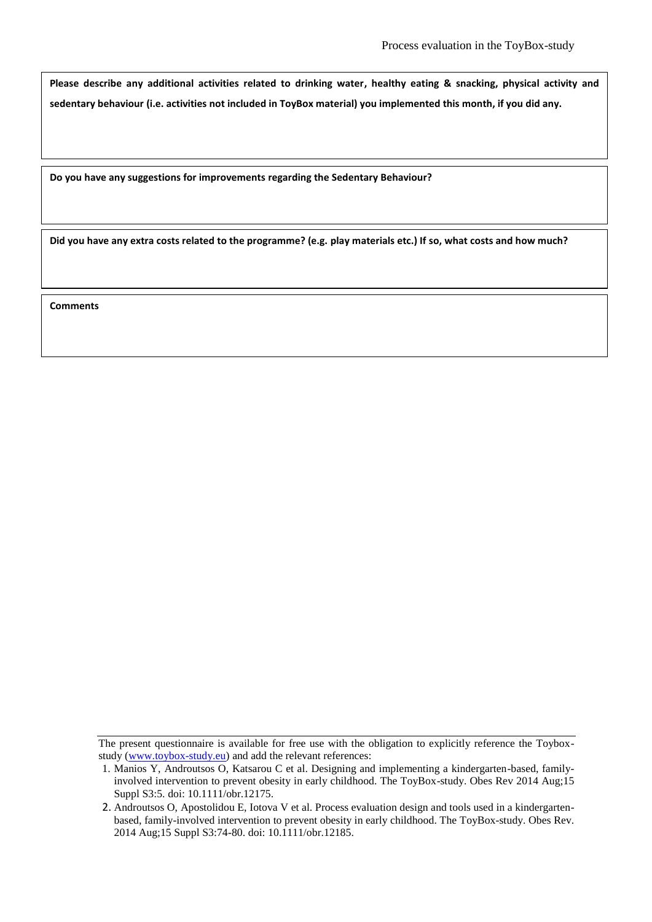**Please describe any additional activities related to drinking water, healthy eating & snacking, physical activity and sedentary behaviour (i.e. activities not included in ToyBox material) you implemented this month, if you did any.**

**Do you have any suggestions for improvements regarding the Sedentary Behaviour?**

**Did you have any extra costs related to the programme? (e.g. play materials etc.) If so, what costs and how much?**

The present questionnaire is available for free use with the obligation to explicitly reference the Toyboxstudy (www.toybox-study.eu) and add the relevant references:

<sup>1.</sup> Manios Y, Androutsos O, Katsarou C et al. Designing and implementing a kindergarten-based, familyinvolved intervention to prevent obesity in early childhood. The ToyBox-study. Obes Rev 2014 Aug;15 Suppl S3:5. doi: 10.1111/obr.12175.

<sup>2.</sup> Androutsos O, Apostolidou E, Iotova V et al. Process evaluation design and tools used in a kindergartenbased, family-involved intervention to prevent obesity in early childhood. The ToyBox-study. Obes Rev. 2014 Aug;15 Suppl S3:74-80. doi: 10.1111/obr.12185.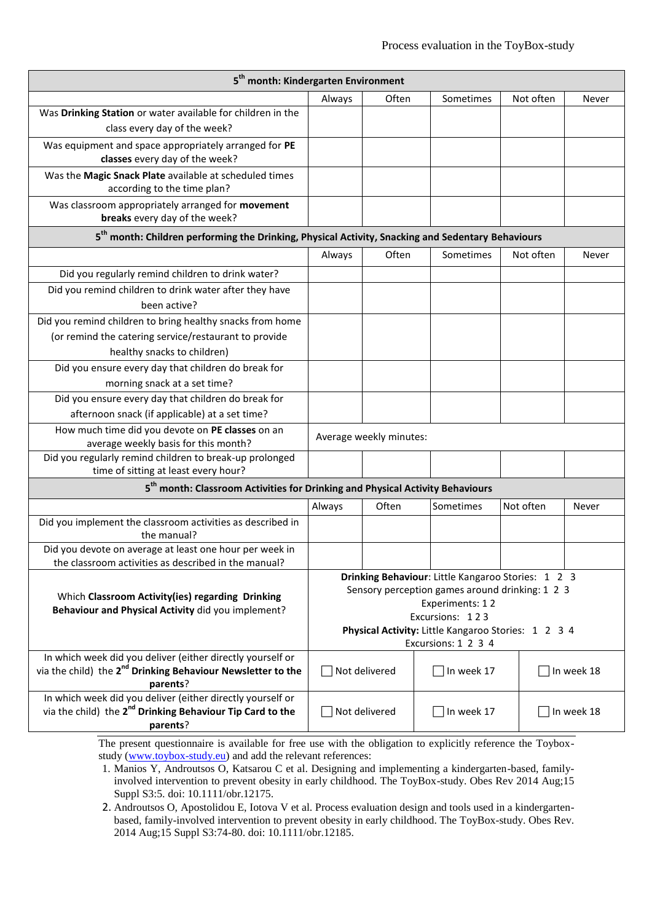| 5 <sup>th</sup> month: Kindergarten Environment                                                                                       |        |                         |                                                                                                       |           |            |  |  |  |  |  |
|---------------------------------------------------------------------------------------------------------------------------------------|--------|-------------------------|-------------------------------------------------------------------------------------------------------|-----------|------------|--|--|--|--|--|
|                                                                                                                                       | Always | Often                   | Sometimes                                                                                             | Not often | Never      |  |  |  |  |  |
| Was Drinking Station or water available for children in the                                                                           |        |                         |                                                                                                       |           |            |  |  |  |  |  |
| class every day of the week?                                                                                                          |        |                         |                                                                                                       |           |            |  |  |  |  |  |
| Was equipment and space appropriately arranged for PE                                                                                 |        |                         |                                                                                                       |           |            |  |  |  |  |  |
| classes every day of the week?                                                                                                        |        |                         |                                                                                                       |           |            |  |  |  |  |  |
| Was the Magic Snack Plate available at scheduled times                                                                                |        |                         |                                                                                                       |           |            |  |  |  |  |  |
| according to the time plan?                                                                                                           |        |                         |                                                                                                       |           |            |  |  |  |  |  |
| Was classroom appropriately arranged for movement<br>breaks every day of the week?                                                    |        |                         |                                                                                                       |           |            |  |  |  |  |  |
| 5 <sup>th</sup> month: Children performing the Drinking, Physical Activity, Snacking and Sedentary Behaviours                         |        |                         |                                                                                                       |           |            |  |  |  |  |  |
|                                                                                                                                       | Always | Often                   | Sometimes                                                                                             | Not often | Never      |  |  |  |  |  |
| Did you regularly remind children to drink water?                                                                                     |        |                         |                                                                                                       |           |            |  |  |  |  |  |
| Did you remind children to drink water after they have                                                                                |        |                         |                                                                                                       |           |            |  |  |  |  |  |
| been active?                                                                                                                          |        |                         |                                                                                                       |           |            |  |  |  |  |  |
| Did you remind children to bring healthy snacks from home                                                                             |        |                         |                                                                                                       |           |            |  |  |  |  |  |
| (or remind the catering service/restaurant to provide                                                                                 |        |                         |                                                                                                       |           |            |  |  |  |  |  |
| healthy snacks to children)                                                                                                           |        |                         |                                                                                                       |           |            |  |  |  |  |  |
| Did you ensure every day that children do break for                                                                                   |        |                         |                                                                                                       |           |            |  |  |  |  |  |
| morning snack at a set time?                                                                                                          |        |                         |                                                                                                       |           |            |  |  |  |  |  |
| Did you ensure every day that children do break for                                                                                   |        |                         |                                                                                                       |           |            |  |  |  |  |  |
| afternoon snack (if applicable) at a set time?                                                                                        |        |                         |                                                                                                       |           |            |  |  |  |  |  |
| How much time did you devote on PE classes on an                                                                                      |        | Average weekly minutes: |                                                                                                       |           |            |  |  |  |  |  |
| average weekly basis for this month?<br>Did you regularly remind children to break-up prolonged                                       |        |                         |                                                                                                       |           |            |  |  |  |  |  |
| time of sitting at least every hour?                                                                                                  |        |                         |                                                                                                       |           |            |  |  |  |  |  |
| 5 <sup>th</sup> month: Classroom Activities for Drinking and Physical Activity Behaviours                                             |        |                         |                                                                                                       |           |            |  |  |  |  |  |
|                                                                                                                                       | Always | Often                   | Sometimes                                                                                             | Not often | Never      |  |  |  |  |  |
| Did you implement the classroom activities as described in                                                                            |        |                         |                                                                                                       |           |            |  |  |  |  |  |
| the manual?                                                                                                                           |        |                         |                                                                                                       |           |            |  |  |  |  |  |
| Did you devote on average at least one hour per week in                                                                               |        |                         |                                                                                                       |           |            |  |  |  |  |  |
| the classroom activities as described in the manual?                                                                                  |        |                         |                                                                                                       |           |            |  |  |  |  |  |
|                                                                                                                                       |        |                         | Drinking Behaviour: Little Kangaroo Stories: 1 2 3<br>Sensory perception games around drinking: 1 2 3 |           |            |  |  |  |  |  |
| Which Classroom Activity(ies) regarding Drinking                                                                                      |        |                         | Experiments: 12                                                                                       |           |            |  |  |  |  |  |
| Behaviour and Physical Activity did you implement?                                                                                    |        |                         | Excursions: 123                                                                                       |           |            |  |  |  |  |  |
|                                                                                                                                       |        |                         | Physical Activity: Little Kangaroo Stories: 1 2 3 4                                                   |           |            |  |  |  |  |  |
|                                                                                                                                       |        |                         | Excursions: 1 2 3 4                                                                                   |           |            |  |  |  |  |  |
| In which week did you deliver (either directly yourself or<br>via the child) the 2 <sup>nd</sup> Drinking Behaviour Newsletter to the |        | Not delivered           | In week 17                                                                                            |           | In week 18 |  |  |  |  |  |
| parents?                                                                                                                              |        |                         |                                                                                                       |           |            |  |  |  |  |  |
| In which week did you deliver (either directly yourself or                                                                            |        |                         |                                                                                                       |           |            |  |  |  |  |  |
| via the child) the 2 <sup>nd</sup> Drinking Behaviour Tip Card to the                                                                 |        | Not delivered           | In week 17                                                                                            |           | In week 18 |  |  |  |  |  |
| parents?                                                                                                                              |        |                         |                                                                                                       |           |            |  |  |  |  |  |

1. Manios Y, Androutsos O, Katsarou C et al. Designing and implementing a kindergarten-based, familyinvolved intervention to prevent obesity in early childhood. The ToyBox-study. Obes Rev 2014 Aug;15 Suppl S3:5. doi: 10.1111/obr.12175.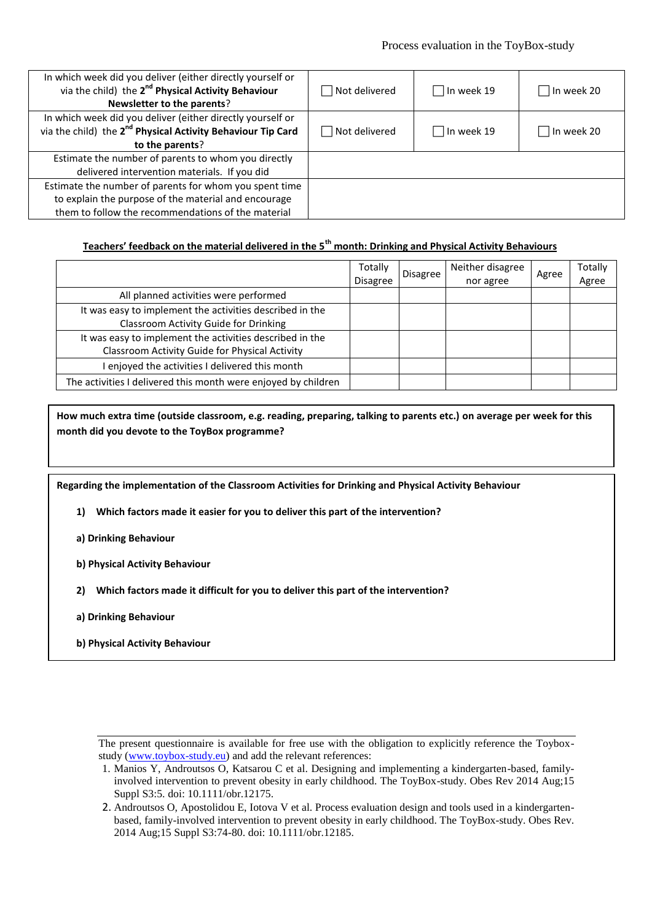#### Process evaluation in the ToyBox-study

| In which week did you deliver (either directly yourself or<br>via the child) the 2 <sup>nd</sup> Physical Activity Behaviour<br>Newsletter to the parents?           | Not delivered | In week 19<br>$\Box$ | In week 20 |
|----------------------------------------------------------------------------------------------------------------------------------------------------------------------|---------------|----------------------|------------|
| In which week did you deliver (either directly yourself or<br>via the child) the 2 <sup>nd</sup> Physical Activity Behaviour Tip Card<br>to the parents?             | Not delivered | In week 19<br>$\Box$ | In week 20 |
| Estimate the number of parents to whom you directly<br>delivered intervention materials. If you did                                                                  |               |                      |            |
| Estimate the number of parents for whom you spent time<br>to explain the purpose of the material and encourage<br>them to follow the recommendations of the material |               |                      |            |

# **Teachers' feedback on the material delivered in the 5th month: Drinking and Physical Activity Behaviours**

|                                                                                                            | Totally<br><b>Disagree</b> | Disagree | Neither disagree<br>nor agree | Agree | Totally<br>Agree |
|------------------------------------------------------------------------------------------------------------|----------------------------|----------|-------------------------------|-------|------------------|
| All planned activities were performed                                                                      |                            |          |                               |       |                  |
| It was easy to implement the activities described in the<br>Classroom Activity Guide for Drinking          |                            |          |                               |       |                  |
| It was easy to implement the activities described in the<br>Classroom Activity Guide for Physical Activity |                            |          |                               |       |                  |
| I enjoyed the activities I delivered this month                                                            |                            |          |                               |       |                  |
| The activities I delivered this month were enjoyed by children                                             |                            |          |                               |       |                  |

**How much extra time (outside classroom, e.g. reading, preparing, talking to parents etc.) on average per week for this month did you devote to the ToyBox programme?**

**Regarding the implementation of the Classroom Activities for Drinking and Physical Activity Behaviour**

- **1) Which factors made it easier for you to deliver this part of the intervention?**
- **a) Drinking Behaviour**
- **b) Physical Activity Behaviour**
- **2) Which factors made it difficult for you to deliver this part of the intervention?**
- **a) Drinking Behaviour**
- **b) Physical Activity Behaviour**

The present questionnaire is available for free use with the obligation to explicitly reference the Toyboxstudy (www.toybox-study.eu) and add the relevant references:

<sup>1.</sup> Manios Y, Androutsos O, Katsarou C et al. Designing and implementing a kindergarten-based, familyinvolved intervention to prevent obesity in early childhood. The ToyBox-study. Obes Rev 2014 Aug;15 Suppl S3:5. doi: 10.1111/obr.12175.

<sup>2.</sup> Androutsos O, Apostolidou E, Iotova V et al. Process evaluation design and tools used in a kindergartenbased, family-involved intervention to prevent obesity in early childhood. The ToyBox-study. Obes Rev. 2014 Aug;15 Suppl S3:74-80. doi: 10.1111/obr.12185.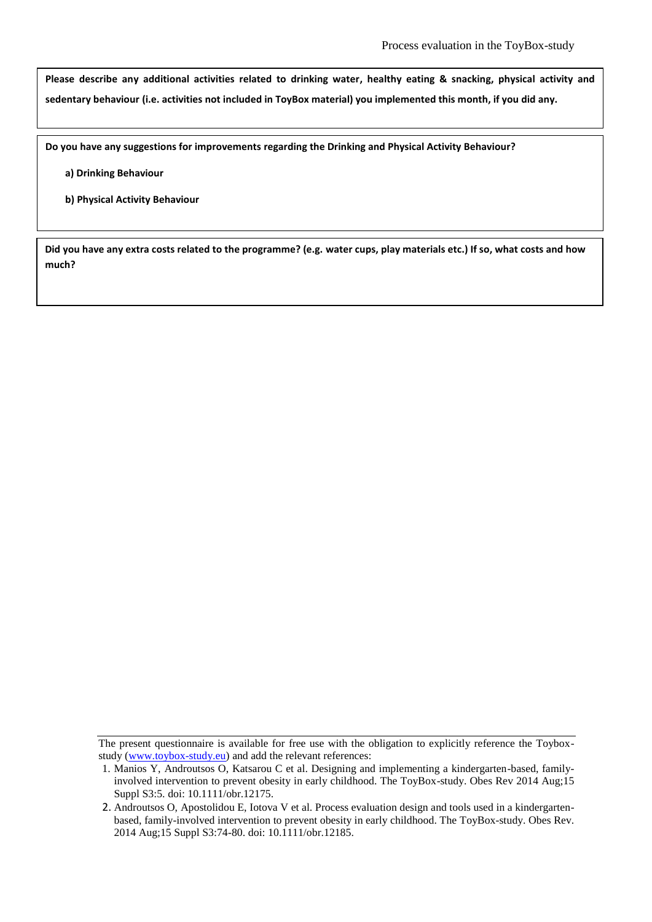**Please describe any additional activities related to drinking water, healthy eating & snacking, physical activity and sedentary behaviour (i.e. activities not included in ToyBox material) you implemented this month, if you did any.**

**Do you have any suggestions for improvements regarding the Drinking and Physical Activity Behaviour?**

- **a) Drinking Behaviour**
- **b) Physical Activity Behaviour**

**Did you have any extra costs related to the programme? (e.g. water cups, play materials etc.) If so, what costs and how much?**

The present questionnaire is available for free use with the obligation to explicitly reference the Toyboxstudy (www.toybox-study.eu) and add the relevant references:

<sup>1.</sup> Manios Y, Androutsos O, Katsarou C et al. Designing and implementing a kindergarten-based, familyinvolved intervention to prevent obesity in early childhood. The ToyBox-study. Obes Rev 2014 Aug;15 Suppl S3:5. doi: 10.1111/obr.12175.

<sup>2.</sup> Androutsos O, Apostolidou E, Iotova V et al. Process evaluation design and tools used in a kindergartenbased, family-involved intervention to prevent obesity in early childhood. The ToyBox-study. Obes Rev. 2014 Aug;15 Suppl S3:74-80. doi: 10.1111/obr.12185.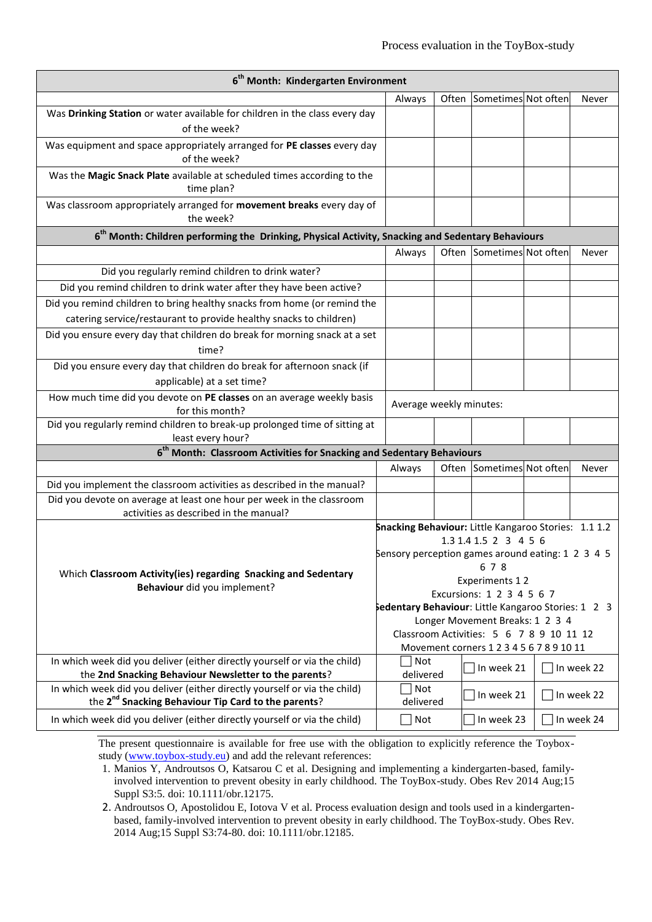| 6 <sup>th</sup> Month: Kindergarten Environment                                                                 |                                                      |                                                     |                                                                                      |  |            |  |
|-----------------------------------------------------------------------------------------------------------------|------------------------------------------------------|-----------------------------------------------------|--------------------------------------------------------------------------------------|--|------------|--|
|                                                                                                                 | Always                                               |                                                     | Often Sometimes Not often                                                            |  | Never      |  |
| Was Drinking Station or water available for children in the class every day<br>of the week?                     |                                                      |                                                     |                                                                                      |  |            |  |
| Was equipment and space appropriately arranged for PE classes every day<br>of the week?                         |                                                      |                                                     |                                                                                      |  |            |  |
| Was the Magic Snack Plate available at scheduled times according to the<br>time plan?                           |                                                      |                                                     |                                                                                      |  |            |  |
| Was classroom appropriately arranged for movement breaks every day of<br>the week?                              |                                                      |                                                     |                                                                                      |  |            |  |
| 6 <sup>th</sup> Month: Children performing the Drinking, Physical Activity, Snacking and Sedentary Behaviours   |                                                      |                                                     |                                                                                      |  |            |  |
|                                                                                                                 | Always                                               |                                                     | Often Sometimes Not often                                                            |  | Never      |  |
| Did you regularly remind children to drink water?                                                               |                                                      |                                                     |                                                                                      |  |            |  |
| Did you remind children to drink water after they have been active?                                             |                                                      |                                                     |                                                                                      |  |            |  |
| Did you remind children to bring healthy snacks from home (or remind the                                        |                                                      |                                                     |                                                                                      |  |            |  |
| catering service/restaurant to provide healthy snacks to children)                                              |                                                      |                                                     |                                                                                      |  |            |  |
| Did you ensure every day that children do break for morning snack at a set                                      |                                                      |                                                     |                                                                                      |  |            |  |
| time?                                                                                                           |                                                      |                                                     |                                                                                      |  |            |  |
| Did you ensure every day that children do break for afternoon snack (if                                         |                                                      |                                                     |                                                                                      |  |            |  |
| applicable) at a set time?                                                                                      |                                                      |                                                     |                                                                                      |  |            |  |
| How much time did you devote on PE classes on an average weekly basis<br>for this month?                        | Average weekly minutes:                              |                                                     |                                                                                      |  |            |  |
| Did you regularly remind children to break-up prolonged time of sitting at<br>least every hour?                 |                                                      |                                                     |                                                                                      |  |            |  |
| 6 <sup>th</sup> Month: Classroom Activities for Snacking and Sedentary Behaviours                               |                                                      |                                                     |                                                                                      |  |            |  |
|                                                                                                                 | Always                                               |                                                     | Often Sometimes Not often                                                            |  | Never      |  |
| Did you implement the classroom activities as described in the manual?                                          |                                                      |                                                     |                                                                                      |  |            |  |
| Did you devote on average at least one hour per week in the classroom<br>activities as described in the manual? |                                                      |                                                     |                                                                                      |  |            |  |
|                                                                                                                 | Snacking Behaviour: Little Kangaroo Stories: 1.1 1.2 |                                                     |                                                                                      |  |            |  |
|                                                                                                                 |                                                      |                                                     | 1.3 1.4 1.5 2 3 4 5 6                                                                |  |            |  |
|                                                                                                                 | Sensory perception games around eating: 1 2 3 4 5    |                                                     | 6 7 8                                                                                |  |            |  |
| Which Classroom Activity(ies) regarding Snacking and Sedentary                                                  | Experiments 12                                       |                                                     |                                                                                      |  |            |  |
| Behaviour did you implement?                                                                                    |                                                      | Excursions: 1 2 3 4 5 6 7                           |                                                                                      |  |            |  |
|                                                                                                                 |                                                      | Sedentary Behaviour: Little Kangaroo Stories: 1 2 3 |                                                                                      |  |            |  |
|                                                                                                                 |                                                      |                                                     | Longer Movement Breaks: 1 2 3 4                                                      |  |            |  |
|                                                                                                                 |                                                      |                                                     | Classroom Activities: 5 6 7 8 9 10 11 12<br>Movement corners 1 2 3 4 5 6 7 8 9 10 11 |  |            |  |
| In which week did you deliver (either directly yourself or via the child)                                       | Not                                                  |                                                     |                                                                                      |  |            |  |
| the 2nd Snacking Behaviour Newsletter to the parents?                                                           | delivered                                            |                                                     | In week 21                                                                           |  | In week 22 |  |
| In which week did you deliver (either directly yourself or via the child)                                       | Not                                                  |                                                     | In week 21                                                                           |  | In week 22 |  |
| the 2 <sup>nd</sup> Snacking Behaviour Tip Card to the parents?                                                 | delivered                                            |                                                     |                                                                                      |  |            |  |
| In which week did you deliver (either directly yourself or via the child)                                       | $\Box$ Not                                           |                                                     | In week 23                                                                           |  | In week 24 |  |

1. Manios Y, Androutsos O, Katsarou C et al. Designing and implementing a kindergarten-based, familyinvolved intervention to prevent obesity in early childhood. The ToyBox-study. Obes Rev 2014 Aug;15 Suppl S3:5. doi: 10.1111/obr.12175.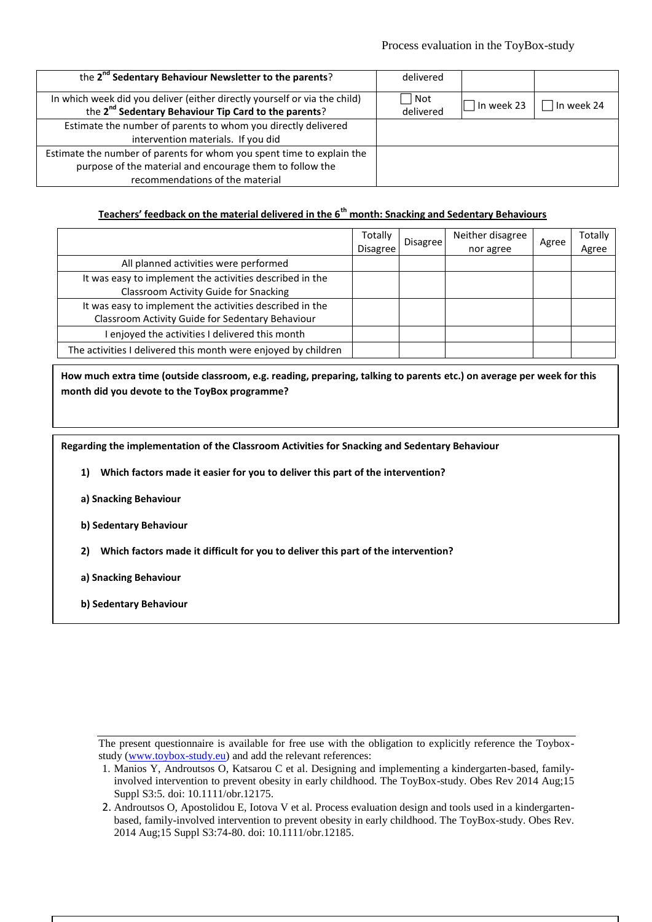| the 2 <sup>nd</sup> Sedentary Behaviour Newsletter to the parents?                                                                            | delivered        |            |              |
|-----------------------------------------------------------------------------------------------------------------------------------------------|------------------|------------|--------------|
| In which week did you deliver (either directly yourself or via the child)<br>the 2 <sup>nd</sup> Sedentary Behaviour Tip Card to the parents? | Not<br>delivered | In week 23 | l In week 24 |
| Estimate the number of parents to whom you directly delivered                                                                                 |                  |            |              |
| intervention materials. If you did                                                                                                            |                  |            |              |
| Estimate the number of parents for whom you spent time to explain the                                                                         |                  |            |              |
| purpose of the material and encourage them to follow the                                                                                      |                  |            |              |
| recommendations of the material                                                                                                               |                  |            |              |

# **Teachers' feedback on the material delivered in the 6th month: Snacking and Sedentary Behaviours**

|                                                                | Totally<br><b>Disagree</b> | <b>Disagree</b> | Neither disagree<br>nor agree | Agree | Totally<br>Agree |
|----------------------------------------------------------------|----------------------------|-----------------|-------------------------------|-------|------------------|
| All planned activities were performed                          |                            |                 |                               |       |                  |
| It was easy to implement the activities described in the       |                            |                 |                               |       |                  |
| Classroom Activity Guide for Snacking                          |                            |                 |                               |       |                  |
| It was easy to implement the activities described in the       |                            |                 |                               |       |                  |
| Classroom Activity Guide for Sedentary Behaviour               |                            |                 |                               |       |                  |
| enjoyed the activities I delivered this month                  |                            |                 |                               |       |                  |
| The activities I delivered this month were enjoyed by children |                            |                 |                               |       |                  |

**How much extra time (outside classroom, e.g. reading, preparing, talking to parents etc.) on average per week for this month did you devote to the ToyBox programme?**

**Regarding the implementation of the Classroom Activities for Snacking and Sedentary Behaviour**

**1) Which factors made it easier for you to deliver this part of the intervention?**

**a) Snacking Behaviour**

**b) Sedentary Behaviour**

**2) Which factors made it difficult for you to deliver this part of the intervention?**

**a) Snacking Behaviour**

**b) Sedentary Behaviour**

<sup>1.</sup> Manios Y, Androutsos O, Katsarou C et al. Designing and implementing a kindergarten-based, familyinvolved intervention to prevent obesity in early childhood. The ToyBox-study. Obes Rev 2014 Aug;15 Suppl S3:5. doi: 10.1111/obr.12175.

<sup>2.</sup> Androutsos O, Apostolidou E, Iotova V et al. Process evaluation design and tools used in a kindergartenbased, family-involved intervention to prevent obesity in early childhood. The ToyBox-study. Obes Rev. 2014 Aug;15 Suppl S3:74-80. doi: 10.1111/obr.12185.